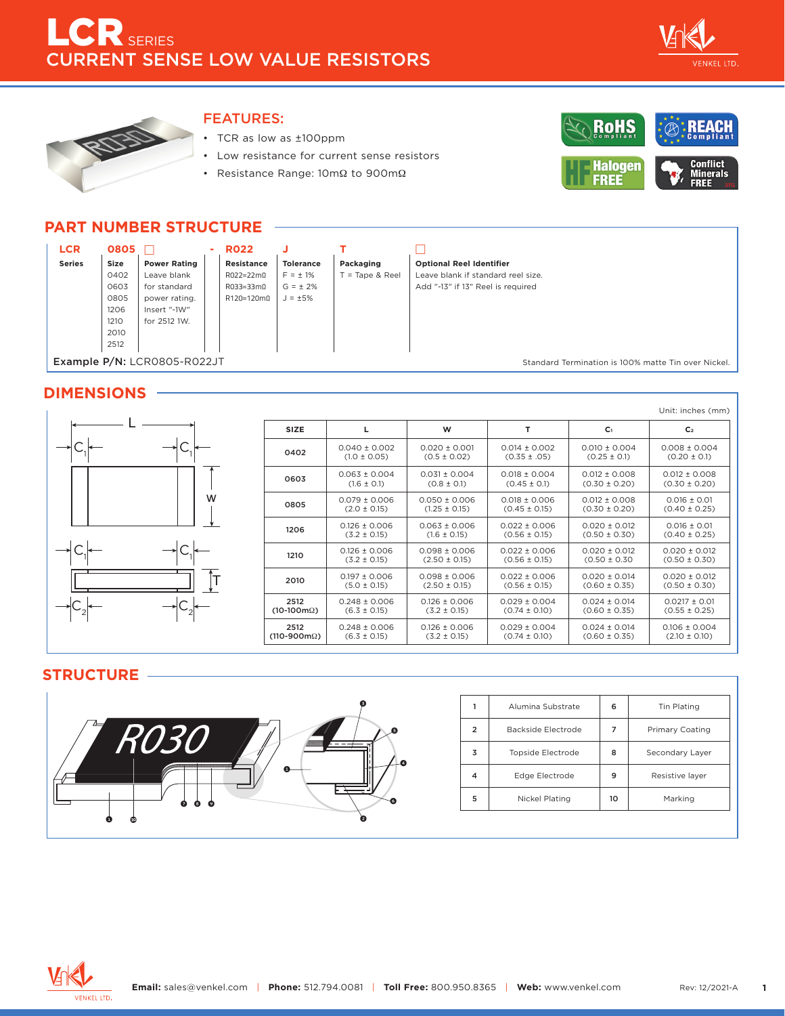



### FEATURES:

- TCR as low as ±100ppm
- Low resistance for current sense resistors
- Resistance Range: 10mΩ to 900mΩ



## **PART NUMBER STRUCTURE**

|                                                                                    | <b>LCR</b>    | 0805 |                     |  | <b>RO22</b>       |                  |               |                                    |  |
|------------------------------------------------------------------------------------|---------------|------|---------------------|--|-------------------|------------------|---------------|------------------------------------|--|
|                                                                                    | <b>Series</b> | Size | <b>Power Rating</b> |  | <b>Resistance</b> | <b>Tolerance</b> | Packaging     | <b>Optional Reel Identifier</b>    |  |
|                                                                                    |               | 0402 | Leave blank         |  | $RO22=22m\Omega$  | $F = \pm 1\%$    | = Tape & Reel | Leave blank if standard reel size. |  |
|                                                                                    |               | 0603 | for standard        |  | $R033=33m\Omega$  | $G = \pm 2\%$    |               | Add "-13" if 13" Reel is required  |  |
|                                                                                    |               | 0805 | power rating.       |  | $R120=120m\Omega$ | $J = \pm 5\%$    |               |                                    |  |
|                                                                                    |               | 1206 | Insert "-1W"        |  |                   |                  |               |                                    |  |
|                                                                                    |               | 1210 | for 2512 1W.        |  |                   |                  |               |                                    |  |
|                                                                                    |               | 2010 |                     |  |                   |                  |               |                                    |  |
|                                                                                    |               | 2512 |                     |  |                   |                  |               |                                    |  |
| Example P/N: LCR0805-R022JT<br>Standard Termination is 100% matte Tin over Nickel. |               |      |                     |  |                   |                  |               |                                    |  |

### **DIMENSIONS**

|   |                                    |                                       |                                        |                                        |                                        | Unit: inches (mm)                      |
|---|------------------------------------|---------------------------------------|----------------------------------------|----------------------------------------|----------------------------------------|----------------------------------------|
|   | <b>SIZE</b>                        |                                       | W                                      |                                        | C <sub>1</sub>                         | C <sub>2</sub>                         |
|   | 0402                               | $0.040 \pm 0.002$<br>$(1.0 \pm 0.05)$ | $0.020 \pm 0.001$<br>$(0.5 \pm 0.02)$  | $0.014 \pm 0.002$<br>$(0.35 \pm .05)$  | $0.010 \pm 0.004$<br>$(0.25 \pm 0.1)$  | $0.008 \pm 0.004$<br>$(0.20 \pm 0.1)$  |
|   | 0603                               | $0.063 \pm 0.004$<br>$(1.6 \pm 0.1)$  | $0.031 \pm 0.004$<br>$(0.8 \pm 0.1)$   | $0.018 \pm 0.004$<br>$(0.45 \pm 0.1)$  | $0.012 \pm 0.008$<br>$(0.30 \pm 0.20)$ | $0.012 \pm 0.008$<br>$(0.30 \pm 0.20)$ |
| W | 0805                               | $0.079 \pm 0.006$<br>$(2.0 \pm 0.15)$ | $0.050 \pm 0.006$<br>$(1.25 \pm 0.15)$ | $0.018 \pm 0.006$<br>$(0.45 \pm 0.15)$ | $0.012 \pm 0.008$<br>$(0.30 \pm 0.20)$ | $0.016 \pm 0.01$<br>$(0.40 \pm 0.25)$  |
|   | 1206                               | $0.126 \pm 0.006$<br>$(3.2 \pm 0.15)$ | $0.063 \pm 0.006$<br>$(1.6 \pm 0.15)$  | $0.022 \pm 0.006$<br>$(0.56 \pm 0.15)$ | $0.020 \pm 0.012$<br>$(0.50 \pm 0.30)$ | $0.016 \pm 0.01$<br>$(0.40 \pm 0.25)$  |
|   | 1210                               | $0.126 \pm 0.006$<br>$(3.2 \pm 0.15)$ | $0.098 \pm 0.006$<br>$(2.50 \pm 0.15)$ | $0.022 \pm 0.006$<br>$(0.56 \pm 0.15)$ | $0.020 \pm 0.012$<br>$(0.50 \pm 0.30)$ | $0.020 \pm 0.012$<br>$(0.50 \pm 0.30)$ |
|   | 2010                               | $0.197 \pm 0.006$<br>$(5.0 \pm 0.15)$ | $0.098 \pm 0.006$<br>$(2.50 \pm 0.15)$ | $0.022 \pm 0.006$<br>$(0.56 \pm 0.15)$ | $0.020 \pm 0.014$<br>$(0.60 \pm 0.35)$ | $0.020 \pm 0.012$<br>$(0.50 \pm 0.30)$ |
|   | 2512<br>$(10-100 \text{m}\Omega)$  | $0.248 \pm 0.006$<br>$(6.3 \pm 0.15)$ | $0.126 \pm 0.006$<br>$(3.2 \pm 0.15)$  | $0.029 \pm 0.004$<br>$(0.74 \pm 0.10)$ | $0.024 \pm 0.014$<br>$(0.60 \pm 0.35)$ | $0.0217 \pm 0.01$<br>$(0.55 \pm 0.25)$ |
|   | 2512<br>$(110-900 \text{m}\Omega)$ | $0.248 \pm 0.006$<br>$(6.3 \pm 0.15)$ | $0.126 \pm 0.006$<br>$(3.2 \pm 0.15)$  | $0.029 \pm 0.004$<br>$(0.74 \pm 0.10)$ | $0.024 \pm 0.014$<br>$(0.60 \pm 0.35)$ | $0.106 \pm 0.004$<br>$(2.10 \pm 0.10)$ |

### **STRUCTURE**



| 1                       | Alumina Substrate        | 6                    | Tin Plating            |  |
|-------------------------|--------------------------|----------------------|------------------------|--|
| $\overline{2}$          | Backside Electrode       | 7                    | <b>Primary Coating</b> |  |
| 3                       | <b>Topside Electrode</b> | 8<br>Secondary Layer |                        |  |
| $\overline{\mathbf{4}}$ | Edge Electrode           | 9                    | Resistive layer        |  |
| 5                       | Nickel Plating           | 10                   | Marking                |  |
|                         |                          |                      |                        |  |

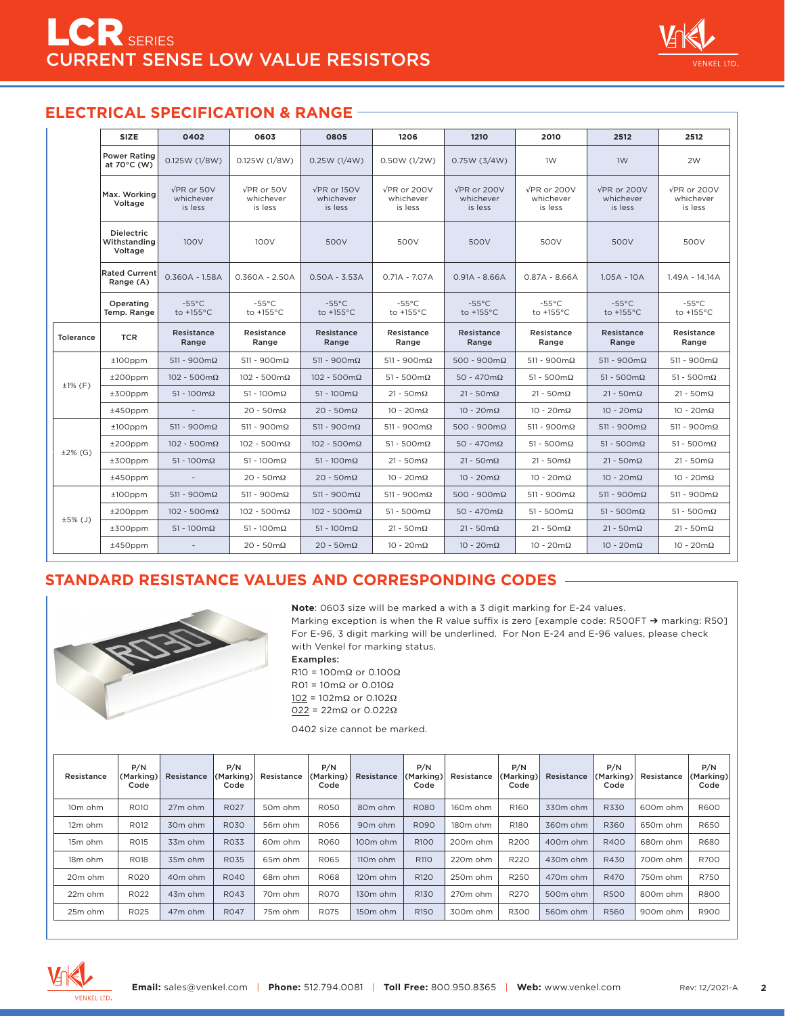# **ELECTRICAL SPECIFICATION & RANGE**

|                  | <b>SIZE</b>                                  | 0402                                   | 0603                                   | 0805                                        | 1206                                        | 1210                                        | 2010                                        | 2512                                   | 2512                                        |
|------------------|----------------------------------------------|----------------------------------------|----------------------------------------|---------------------------------------------|---------------------------------------------|---------------------------------------------|---------------------------------------------|----------------------------------------|---------------------------------------------|
|                  | <b>Power Rating</b><br>at 70°C (W)           | 0.125W (1/8W)                          | 0.125W (1/8W)                          | 0.25W(1/4W)                                 | 0.50W (1/2W)                                | 0.75W(3/4W)                                 | 1W                                          | 1W                                     | 2W                                          |
|                  | Max. Working<br>Voltage                      | $VPR$ or $50V$<br>whichever<br>is less | $VPR$ or $50V$<br>whichever<br>is less | $\sqrt{PR}$ or 150V<br>whichever<br>is less | $\sqrt{PR}$ or 200V<br>whichever<br>is less | $\sqrt{PR}$ or 200V<br>whichever<br>is less | $\sqrt{PR}$ or 200V<br>whichever<br>is less | VPR or 200V<br>whichever<br>is less    | $\sqrt{PR}$ or 200V<br>whichever<br>is less |
|                  | <b>Dielectric</b><br>Withstanding<br>Voltage | 100V                                   | 100V                                   | 500V                                        | 500V                                        | 500V                                        | 500V                                        | 500V                                   | 500V                                        |
|                  | <b>Rated Current</b><br>Range (A)            | $0.360A - 1.58A$                       | $0.360A - 2.50A$                       | $0.50A - 3.53A$                             | $0.71A - 7.07A$                             | $0.91A - 8.66A$                             | $0.87A - 8.66A$                             | $1.05A - 10A$                          | 1.49A - 14.14A                              |
|                  | Operating<br>Temp. Range                     | $-55^{\circ}$ C<br>to $+155^{\circ}$ C | $-55^{\circ}$ C<br>to $+155^{\circ}$ C | $-55^{\circ}$ C<br>to $+155^{\circ}$ C      | $-55^{\circ}$ C<br>to $+155^{\circ}$ C      | $-55^{\circ}$ C<br>to $+155^{\circ}$ C      | $-55^{\circ}$ C<br>to $+155^{\circ}$ C      | $-55^{\circ}$ C<br>to $+155^{\circ}$ C | $-55^{\circ}$ C<br>to $+155^{\circ}$ C      |
| <b>Tolerance</b> | <b>TCR</b>                                   | Resistance<br>Range                    | Resistance<br>Range                    | Resistance<br>Range                         | Resistance<br>Range                         | Resistance<br>Range                         | Resistance<br>Range                         | Resistance<br>Range                    | Resistance<br>Range                         |
|                  | $±100$ ppm                                   | $511 - 900 \text{m}\Omega$             | $511 - 900 \text{m}\Omega$             | $511 - 900 \text{m}\Omega$                  | $511 - 900 \text{m}\Omega$                  | $500 - 900 \text{m}\Omega$                  | $511 - 900 \text{m}\Omega$                  | $511 - 900 \text{m}\Omega$             | $511 - 900 \text{m}\Omega$                  |
|                  | $±200$ ppm                                   | $102 - 500 \text{m}\Omega$             | $102 - 500 \text{m}\Omega$             | $102 - 500 \text{m}\Omega$                  | $51 - 500 \text{m}\Omega$                   | $50 - 470 \text{m}\Omega$                   | $51 - 500 \text{m}\Omega$                   | $51 - 500 \text{m}\Omega$              | $51 - 500 \text{m}\Omega$                   |
| $±1%$ (F)        | $±300$ ppm                                   | $51 - 100 \text{m}\Omega$              | $51 - 100 \text{m}\Omega$              | $51 - 100 \text{m}\Omega$                   | $21 - 50 \text{m}\Omega$                    | $21 - 50 \text{m}\Omega$                    | $21 - 50 \text{m}\Omega$                    | $21 - 50 \text{m}\Omega$               | $21 - 50 \text{m}\Omega$                    |
|                  | $±450$ ppm                                   | $\sim$                                 | $20 - 50 \text{m}\Omega$               | $20 - 50 \text{m}\Omega$                    | $10 - 20 \text{m}\Omega$                    | $10 - 20 \text{m}\Omega$                    | $10 - 20 \text{m}\Omega$                    | $10 - 20 \text{m}\Omega$               | $10 - 20 \text{m}\Omega$                    |
|                  | $±100$ ppm                                   | $511 - 900 \text{m}\Omega$             | $511 - 900 \text{m}\Omega$             | $511 - 900 \text{m}\Omega$                  | $511 - 900 \text{m}\Omega$                  | $500 - 900 \text{m}\Omega$                  | $511 - 900 \text{m}\Omega$                  | $511 - 900 \text{m}\Omega$             | $511 - 900 \text{m}\Omega$                  |
| $±2%$ (G)        | $±200$ ppm                                   | $102 - 500 \text{m}\Omega$             | $102 - 500 \text{m}\Omega$             | $102 - 500 \text{m}\Omega$                  | $51 - 500 \text{m}\Omega$                   | $50 - 470 \text{m}\Omega$                   | $51 - 500 \text{m}\Omega$                   | $51 - 500 \text{m}\Omega$              | $51 - 500 \text{m}\Omega$                   |
|                  | $±300$ ppm                                   | $51 - 100 \text{m}\Omega$              | $51 - 100 \text{m}\Omega$              | $51 - 100 \text{m}\Omega$                   | $21 - 50 \text{m}\Omega$                    | $21 - 50 \text{m}\Omega$                    | $21 - 50 \text{m}\Omega$                    | $21 - 50 \text{m}\Omega$               | $21 - 50 \text{m}\Omega$                    |
|                  | $±450$ ppm                                   |                                        | $20 - 50 \text{m}\Omega$               | $20 - 50 \text{m}\Omega$                    | $10 - 20 \text{m}\Omega$                    | $10 - 20 \text{m}\Omega$                    | $10 - 20 \text{m}\Omega$                    | $10 - 20 \text{m}\Omega$               | $10 - 20 \text{m}\Omega$                    |
|                  | $±100$ ppm                                   | $511 - 900 \text{m}\Omega$             | $511 - 900 \text{m}\Omega$             | $511 - 900 \text{m}\Omega$                  | $511 - 900 \text{m}\Omega$                  | $500 - 900 \text{m}\Omega$                  | $511 - 900 \text{m}\Omega$                  | $511 - 900 \text{m}\Omega$             | $511 - 900 \text{m}\Omega$                  |
| ±5% (J)          | $±200$ ppm                                   | $102 - 500 \text{m}\Omega$             | $102 - 500 \text{m}\Omega$             | $102 - 500 \text{m}\Omega$                  | $51 - 500 \text{m}\Omega$                   | $50 - 470 \text{m}\Omega$                   | $51 - 500 \text{m}\Omega$                   | $51 - 500 \text{m}\Omega$              | $51 - 500 \text{m}\Omega$                   |
|                  | $±300$ ppm                                   | $51 - 100 \text{m}\Omega$              | $51 - 100 \text{m}\Omega$              | $51 - 100 \text{m}\Omega$                   | $21 - 50 \text{m}\Omega$                    | $21 - 50 \text{m}\Omega$                    | $21 - 50 \text{m}\Omega$                    | $21 - 50 \text{m}\Omega$               | $21 - 50 \text{m}\Omega$                    |
|                  | $±450$ ppm                                   |                                        | $20 - 50 \text{m}\Omega$               | $20 - 50 \text{m}\Omega$                    | $10 - 20 \text{m}\Omega$                    | $10 - 20 \text{m}\Omega$                    | $10 - 20 \text{m}\Omega$                    | $10 - 20 \text{m}\Omega$               | $10 - 20 \text{m}\Omega$                    |

# **STANDARD RESISTANCE VALUES AND CORRESPONDING CODES**



**Note**: 0603 size will be marked a with a 3 digit marking for E-24 values.

Marking exception is when the R value suffix is zero [example code: R500FT → marking: R50] For E-96, 3 digit marking will be underlined. For Non E-24 and E-96 values, please check with Venkel for marking status.

Examples:

R10 = 100mΩ or 0.100Ω R01 =  $10mΩ$  or 0.010 $Ω$ 102 = 102mΩ or 0.102Ω 022 = 22mΩ or 0.022Ω

0402 size cannot be marked.

| Resistance          | P/N<br>(Marking)<br>Code | Resistance          | P/N<br>(Marking)<br>Code | Resistance          | P/N<br>(Marking)<br>Code | Resistance           | P/N<br>(Marking)<br>Code | Resistance | P/N<br>(Marking)<br>Code | Resistance | P/N<br>(Marking)<br>Code | Resistance | P/N<br>(Marking)<br>Code |
|---------------------|--------------------------|---------------------|--------------------------|---------------------|--------------------------|----------------------|--------------------------|------------|--------------------------|------------|--------------------------|------------|--------------------------|
| 10 <sub>m</sub> ohm | R010                     | 27m ohm             | <b>RO27</b>              | 50m ohm             | <b>R050</b>              | 80 <sub>m</sub> ohm  | <b>R080</b>              | 160m ohm   | R <sub>160</sub>         | 330m ohm   | <b>R330</b>              | 600m ohm   | <b>R600</b>              |
| 12m ohm             | R012                     | 30 <sub>m</sub> ohm | <b>R030</b>              | 56m ohm             | <b>R056</b>              | 90 <sub>m</sub> ohm  | <b>R090</b>              | 180m ohm   | R <sub>180</sub>         | 360m ohm   | R360                     | 650m ohm   | R650                     |
| 15m ohm             | <b>R015</b>              | 33m ohm             | <b>R033</b>              | 60m ohm             | <b>R060</b>              | 100 <sub>m</sub> ohm | R <sub>100</sub>         | 200m ohm   | R200                     | 400m ohm   | R400                     | 680m ohm   | R680                     |
| 18 <sub>m</sub> ohm | <b>R018</b>              | 35m ohm             | <b>R035</b>              | 65m ohm             | R065                     | 110 <sub>m</sub> ohm | <b>R110</b>              | 220m ohm   | R220                     | 430m ohm   | R430                     | 700m ohm   | <b>R700</b>              |
| 20m ohm             | <b>R020</b>              | 40 <sub>m</sub> ohm | R040                     | 68m ohm             | <b>RO68</b>              | 120 <sub>m</sub> ohm | R <sub>120</sub>         | 250m ohm   | R250                     | 470m ohm   | R470                     | 750m ohm   | <b>R750</b>              |
| 22m ohm             | R022                     | 43m ohm             | R043                     | 70 <sub>m</sub> ohm | <b>R070</b>              | 130 <sub>m</sub> ohm | R <sub>130</sub>         | 270m ohm   | R270                     | 500m ohm   | <b>R500</b>              | 800m ohm   | <b>R800</b>              |
| 25m ohm             | <b>R025</b>              | 47m ohm             | <b>R047</b>              | 75m ohm             | <b>R075</b>              | 150m ohm             | R <sub>150</sub>         | 300m ohm   | <b>R300</b>              | 560m ohm   | <b>R560</b>              | 900m ohm   | R900                     |

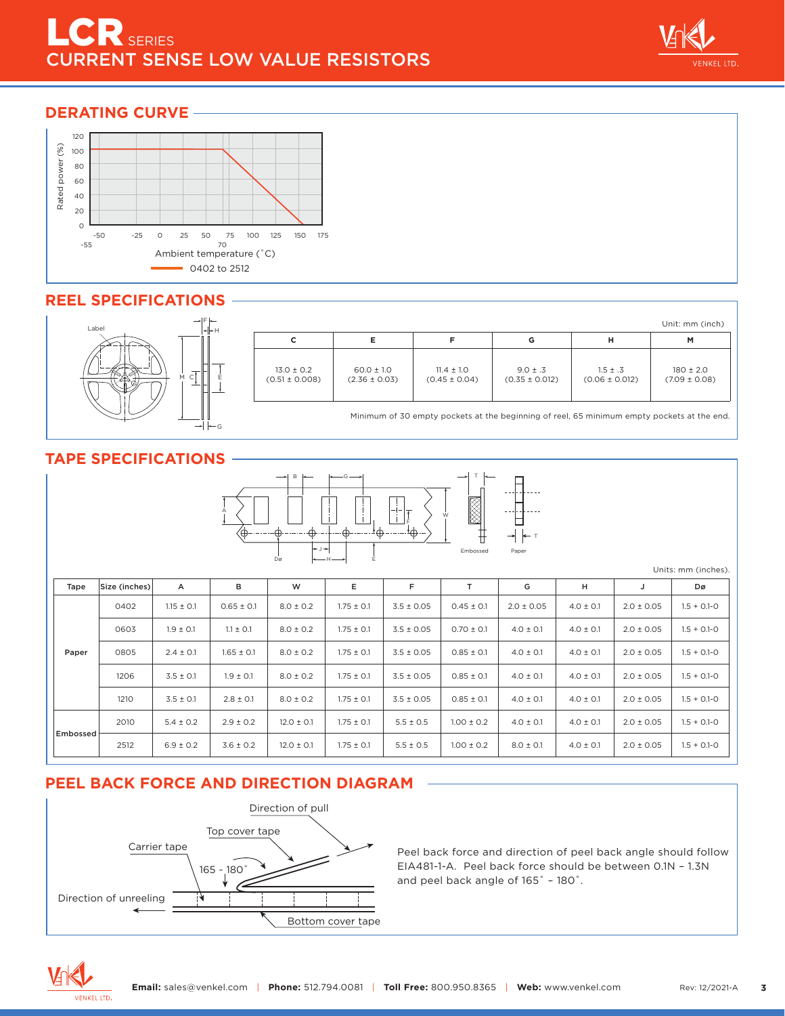## DERATING CURVE –



## **REEL SPECIFICATIONS**



| $F _{\leftarrow}$<br>∗⊩⊦н |                                      |                                     |                                     |                                    |                                    | Unit: mm (inch)                    |
|---------------------------|--------------------------------------|-------------------------------------|-------------------------------------|------------------------------------|------------------------------------|------------------------------------|
|                           | С                                    |                                     |                                     | G                                  | н                                  | M                                  |
|                           | $13.0 \pm 0.2$<br>$(0.51 \pm 0.008)$ | $60.0 \pm 1.0$<br>$(2.36 \pm 0.03)$ | $11.4 \pm 1.0$<br>$(0.45 \pm 0.04)$ | $9.0 \pm .3$<br>$(0.35 \pm 0.012)$ | $1.5 \pm .3$<br>$(0.06 \pm 0.012)$ | $180 \pm 2.0$<br>$(7.09 \pm 0.08)$ |

Minimum of 30 empty pockets at the beginning of reel, 65 minimum empty pockets at the end.

# **TAPE SPECIFICATIONS**



Units: mm (inches).

| Tape     | Size (inches) | A              | в              | W              | Е              | F              |                | G              | н             |                | Dø              |
|----------|---------------|----------------|----------------|----------------|----------------|----------------|----------------|----------------|---------------|----------------|-----------------|
|          | 0402          | $1.15 \pm 0.1$ | $0.65 \pm 0.1$ | $8.0 \pm 0.2$  | $1.75 \pm 0.1$ | $3.5 \pm 0.05$ | $0.45 \pm 0.1$ | $2.0 \pm 0.05$ | $4.0 \pm 0.1$ | $2.0 \pm 0.05$ | $1.5 + 0.1 - 0$ |
|          | 0603          | $1.9 \pm 0.1$  | $1.1 \pm 0.1$  | $8.0 \pm 0.2$  | $1.75 \pm 0.1$ | $3.5 \pm 0.05$ | $0.70 \pm 0.1$ | $4.0 \pm 0.1$  | $4.0 \pm 0.1$ | $2.0 \pm 0.05$ | $1.5 + 0.1 - 0$ |
| Paper    | 0805          | $2.4 \pm 0.1$  | $1.65 \pm 0.1$ | $8.0 \pm 0.2$  | $1.75 \pm 0.1$ | $3.5 \pm 0.05$ | $0.85 \pm 0.1$ | $4.0 \pm 0.1$  | $4.0 \pm 0.1$ | $2.0 \pm 0.05$ | $1.5 + 0.1 - 0$ |
|          | 1206          | $3.5 \pm 0.1$  | $1.9 \pm 0.1$  | $8.0 \pm 0.2$  | $1.75 \pm 0.1$ | $3.5 \pm 0.05$ | $0.85 \pm 0.1$ | $4.0 \pm 0.1$  | $4.0 \pm 0.1$ | $2.0 \pm 0.05$ | $1.5 + 0.1 - 0$ |
|          | 1210          | $3.5 \pm 0.1$  | $2.8 \pm 0.1$  | $8.0 \pm 0.2$  | $1.75 \pm 0.1$ | $3.5 \pm 0.05$ | $0.85 \pm 0.1$ | $4.0 \pm 0.1$  | $4.0 \pm 0.1$ | $2.0 \pm 0.05$ | $1.5 + 0.1 - 0$ |
|          | 2010          | $5.4 \pm 0.2$  | $2.9 \pm 0.2$  | $12.0 \pm 0.1$ | $1.75 \pm 0.1$ | $5.5 \pm 0.5$  | $1.00 \pm 0.2$ | $4.0 \pm 0.1$  | $4.0 \pm 0.1$ | $2.0 \pm 0.05$ | $1.5 + 0.1 - 0$ |
| Embossed | 2512          | $6.9 \pm 0.2$  | $3.6 \pm 0.2$  | $12.0 \pm 0.1$ | $1.75 \pm 0.1$ | $5.5 \pm 0.5$  | $1.00 \pm 0.2$ | $8.0 \pm 0.1$  | $4.0 \pm 0.1$ | $2.0 \pm 0.05$ | $1.5 + 0.1 - 0$ |

## **PEEL BACK FORCE AND DIRECTION DIAGRAM**



Peel back force and direction of peel back angle should follow EIA481-1-A. Peel back force should be between 0.1N – 1.3N and peel back angle of 165˚ – 180˚.